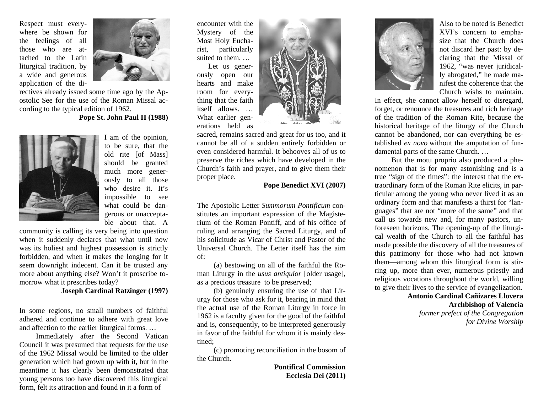Respect must everywhere be shown for the feelings of all those who are attached to the Latin liturgical tradition, by a wide and generous application of the di-



rectives already issued some time ago by the Apostolic See for the use of the Roman Missal according to the typical edition of 1962.

## **Pope St. John Paul II (1988)**



I am of the opinion, to be sure, that the old rite [of Mass] should be granted much more generously to all those who desire it. It's impossible to see what could be dangerous or unacceptable about that. A

community is calling its very being into question when it suddenly declares that what until now was its holiest and highest possession is strictly forbidden, and when it makes the longing for it seem downright indecent. Can it be trusted any more about anything else? Won't it proscribe tomorrow what it prescribes today?

## **Joseph Cardinal Ratzinger (1997)**

In some regions, no small numbers of faithful adhered and continue to adhere with great love and affection to the earlier liturgical forms. …

 Immediately after the Second Vatican Council it was presumed that requests for the use of the 1962 Missal would be limited to the older generation which had grown up with it, but in the meantime it has clearly been demonstrated that young persons too have discovered this liturgical form, felt its attraction and found in it a form of

encounter with the Mystery of the Most Holy Eucharist, particularly suited to them. …

 Let us generously open our hearts and make room for everything that the faith itself allows. … What earlier generations held as



sacred, remains sacred and great for us too, and it cannot be all of a sudden entirely forbidden or even considered harmful. It behooves all of us to preserve the riches which have developed in the Church's faith and prayer, and to give them their proper place.

## **Pope Benedict XVI (2007)**

The Apostolic Letter *Summorum Pontificum* constitutes an important expression of the Magisterium of the Roman Pontiff, and of his office of ruling and arranging the Sacred Liturgy, and of his solicitude as Vicar of Christ and Pastor of the Universal Church. The Letter itself has the aim of:

 (a) bestowing on all of the faithful the Roman Liturgy in the *usus antiquior* [older usage], as a precious treasure to be preserved;

 (b) genuinely ensuring the use of that Liturgy for those who ask for it, bearing in mind that the actual use of the Roman Liturgy in force in 1962 is a faculty given for the good of the faithful and is, consequently, to be interpreted generously in favor of the faithful for whom it is mainly destined;

 (c) promoting reconciliation in the bosom of the Church.

> **Pontifical Commission Ecclesia Dei (2011)**



Also to be noted is Benedict XVI's concern to emphasize that the Church does not discard her past: by declaring that the Missal of 1962, "was never juridically abrogated," he made manifest the coherence that the Church wishs to maintain.

In effect, she cannot allow herself to disregard, forget, or renounce the treasures and rich heritage of the tradition of the Roman Rite, because the historical heritage of the liturgy of the Church cannot be abandoned, nor can everything be established *ex novo* without the amputation of fundamental parts of the same Church. …

 But the motu proprio also produced a phenomenon that is for many astonishing and is a true "sign of the times": the interest that the extraordinary form of the Roman Rite elicits, in particular among the young who never lived it as an ordinary form and that manifests a thirst for "languages" that are not "more of the same" and that call us towards new and, for many pastors, unforeseen horizons. The opening-up of the liturgical wealth of the Church to all the faithful has made possible the discovery of all the treasures of this patrimony for those who had not known them—among whom this liturgical form is stirring up, more than ever, numerous priestly and religious vocations throughout the world, willing to give their lives to the service of evangelization.

## **Antonio Cardinal Cañizares Llovera Archbishop of Valencia**  *former prefect of the Congregation for Divine Worship*